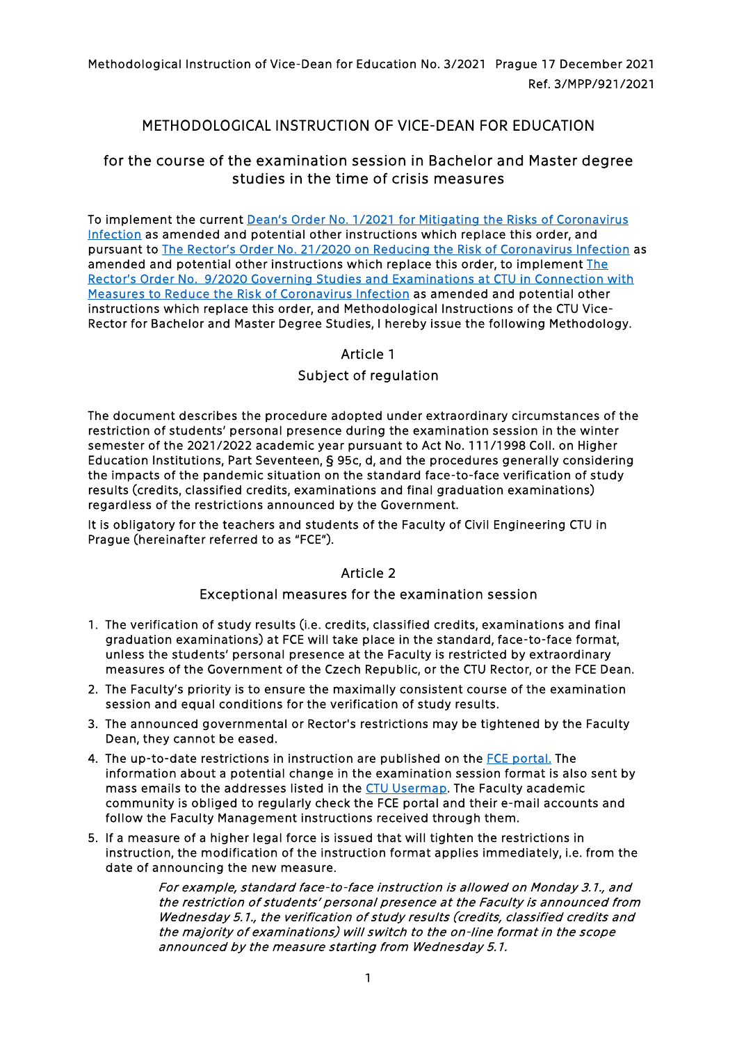Methodological Instruction of Vice-Dean for Education No. 3/2021 Prague 17 December 2021 Ref. 3/MPP/921/2021

# METHODOLOGICAL INSTRUCTION OF VICE-DEAN FOR EDUCATION

# for the course of the examination session in Bachelor and Master degree studies in the time of crisis measures

To implement the current [Dean's Order No. 1/2021 for Mitigating the Risks of Coronavirus](https://portal.fsv.cvut.cz/en/legislat/pd012021e.php)  [Infection](https://portal.fsv.cvut.cz/en/legislat/pd012021e.php) as amended and potential other instructions which replace this order, and pursuant to [The Rector's Order No. 21/2020 on Reducing the Risk of Coronavirus Infection](https://www.cvut.cz/en/ctu-coronavirus-information) as amended and potential other instructions which replace this order, to implement The [Rector's Order No. 9/2020 Governing Studies and Examinations at CTU in Connection with](https://www.cvut.cz/en/ctu-coronavirus-information)  [Measures to Reduce the Risk of Coronavirus Infection](https://www.cvut.cz/en/ctu-coronavirus-information) as amended and potential other instructions which replace this order, and Methodological Instructions of the CTU Vice-Rector for Bachelor and Master Degree Studies, I hereby issue the following Methodology.

### Article 1

## Subject of regulation

The document describes the procedure adopted under extraordinary circumstances of the restriction of students' personal presence during the examination session in the winter semester of the 2021/2022 academic year pursuant to Act No. 111/1998 Coll. on Higher Education Institutions, Part Seventeen, § 95c, d, and the procedures generally considering the impacts of the pandemic situation on the standard face-to-face verification of study results (credits, classified credits, examinations and final graduation examinations) regardless of the restrictions announced by the Government.

It is obligatory for the teachers and students of the Faculty of Civil Engineering CTU in Prague (hereinafter referred to as "FCE").

#### Article 2

#### Exceptional measures for the examination session

- 1. The verification of study results (i.e. credits, classified credits, examinations and final graduation examinations) at FCE will take place in the standard, face-to-face format, unless the students' personal presence at the Faculty is restricted by extraordinary measures of the Government of the Czech Republic, or the CTU Rector, or the FCE Dean.
- 2. The Faculty's priority is to ensure the maximally consistent course of the examination session and equal conditions for the verification of study results.
- 3. The announced governmental or Rector's restrictions may be tightened by the Faculty Dean, they cannot be eased.
- 4. The up-to-date restrictions in instruction are published on the [FCE portal.](https://portal.fsv.cvut.cz/en/hlavni/vir.php) The information about a potential change in the examination session format is also sent by mass emails to the addresses listed in the [CTU Usermap.](https://usermap.cvut.cz/search?lang=en) The Faculty academic community is obliged to regularly check the FCE portal and their e-mail accounts and follow the Faculty Management instructions received through them.
- 5. If a measure of a higher legal force is issued that will tighten the restrictions in instruction, the modification of the instruction format applies immediately, i.e. from the date of announcing the new measure.

For example, standard face-to-face instruction is allowed on Monday 3.1., and the restriction of students' personal presence at the Faculty is announced from Wednesday 5.1., the verification of study results (credits, classified credits and the majority of examinations) will switch to the on-line format in the scope announced by the measure starting from Wednesday 5.1.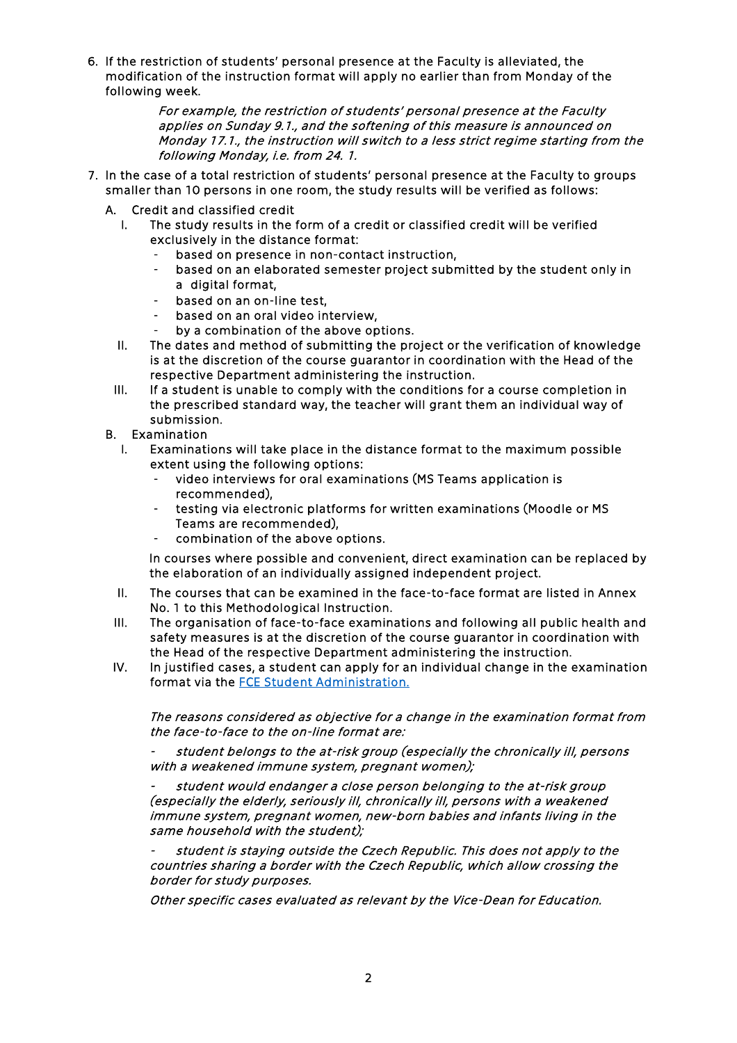6. If the restriction of students' personal presence at the Faculty is alleviated, the modification of the instruction format will apply no earlier than from Monday of the following week.

> For example, the restriction of students' personal presence at the Faculty applies on Sunday 9.1., and the softening of this measure is announced on Monday 17.1., the instruction will switch to a less strict regime starting from the following Monday, i.e. from 24. 1.

- 7. In the case of a total restriction of students' personal presence at the Faculty to groups smaller than 10 persons in one room, the study results will be verified as follows:
	- A. Credit and classified credit
		- I. The study results in the form of a credit or classified credit will be verified exclusively in the distance format:
			- based on presence in non-contact instruction,
			- based on an elaborated semester project submitted by the student only in a digital format,
			- based on an on-line test,
			- based on an oral video interview,
			- by a combination of the above options.
		- II. The dates and method of submitting the project or the verification of knowledge is at the discretion of the course guarantor in coordination with the Head of the respective Department administering the instruction.
		- III. If a student is unable to comply with the conditions for a course completion in the prescribed standard way, the teacher will grant them an individual way of submission.
	- B. Examination
		- I. Examinations will take place in the distance format to the maximum possible extent using the following options:
			- video interviews for oral examinations (MS Teams application is recommended),
			- testing via electronic platforms for written examinations (Moodle or MS Teams are recommended),
			- combination of the above options.

In courses where possible and convenient, direct examination can be replaced by the elaboration of an individually assigned independent project.

- II. The courses that can be examined in the face-to-face format are listed in Annex No. 1 to this Methodological Instruction.
- III. The organisation of face-to-face examinations and following all public health and safety measures is at the discretion of the course guarantor in coordination with the Head of the respective Department administering the instruction.
- IV. In justified cases, a student can apply for an individual change in the examination format via the [FCE Student Administration.](https://portal.fsv.cvut.cz/en/hlavni/dekanat.php#pedagog)

The reasons considered as objective for a change in the examination format from the face-to-face to the on-line format are:

student belongs to the at-risk group (especially the chronically ill, persons with a weakened immune system, pregnant women);

student would endanger a close person belonging to the at-risk group (especially the elderly, seriously ill, chronically ill, persons with a weakened immune system, pregnant women, new-born babies and infants living in the same household with the student);

student is staying outside the Czech Republic. This does not apply to the countries sharing a border with the Czech Republic, which allow crossing the border for study purposes.

Other specific cases evaluated as relevant by the Vice-Dean for Education.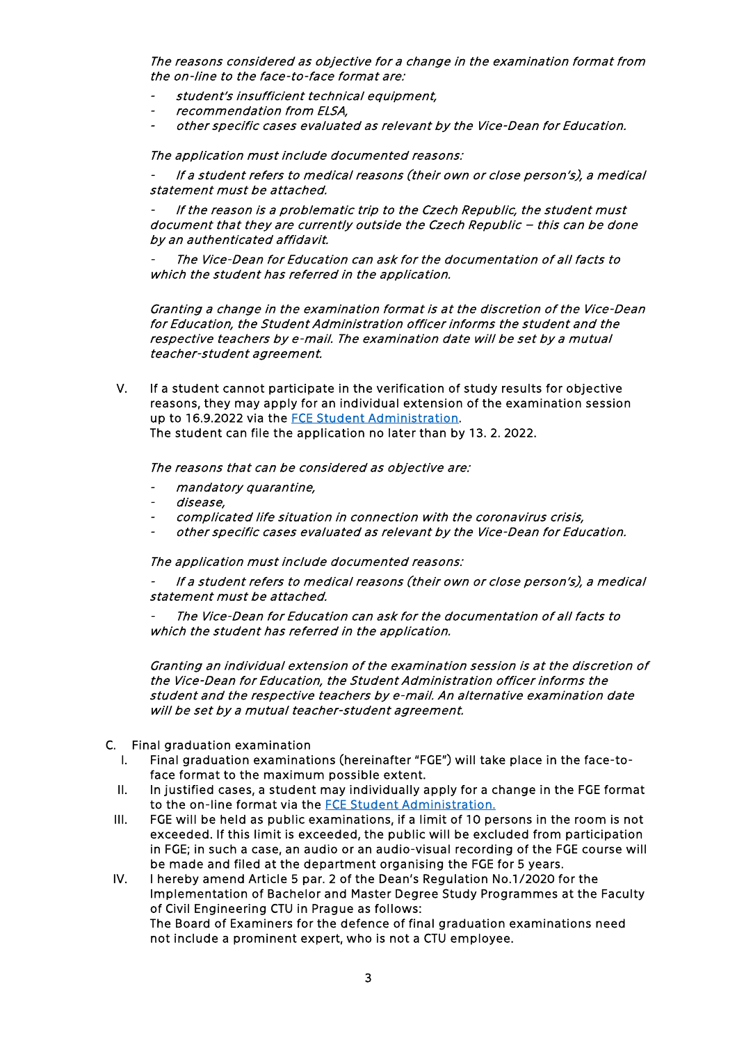The reasons considered as objective for a change in the examination format from the on-line to the face-to-face format are:

- student's insufficient technical equipment,
- recommendation from ELSA,
- other specific cases evaluated as relevant by the Vice-Dean for Education.

The application must include documented reasons:

If a student refers to medical reasons (their own or close person's), a medical statement must be attached.

If the reason is a problematic trip to the Czech Republic, the student must document that they are currently outside the Czech Republic – this can be done by an authenticated affidavit.

The Vice-Dean for Education can ask for the documentation of all facts to which the student has referred in the application.

Granting a change in the examination format is at the discretion of the Vice-Dean for Education, the Student Administration officer informs the student and the respective teachers by e-mail. The examination date will be set by a mutual teacher-student agreement.

V. If a student cannot participate in the verification of study results for objective reasons, they may apply for an individual extension of the examination session up to 16.9.2022 via the [FCE Student Administration.](https://portal.fsv.cvut.cz/en/hlavni/dekanat.php#pedagog)  The student can file the application no later than by 13. 2. 2022.

The reasons that can be considered as objective are:

- mandatory quarantine,
- disease,
- complicated life situation in connection with the coronavirus crisis,
- other specific cases evaluated as relevant by the Vice-Dean for Education.

The application must include documented reasons:

If a student refers to medical reasons (their own or close person's), a medical statement must be attached.

The Vice-Dean for Education can ask for the documentation of all facts to which the student has referred in the application.

Granting an individual extension of the examination session is at the discretion of the Vice-Dean for Education, the Student Administration officer informs the student and the respective teachers by e-mail. An alternative examination date will be set by a mutual teacher-student agreement.

- C. Final graduation examination
	- Final graduation examinations (hereinafter "FGE") will take place in the face-toface format to the maximum possible extent.
	- II. In justified cases, a student may individually apply for a change in the FGE format to the on-line format via the FCE Student Administration.
	- III. FGE will be held as public examinations, if a limit of 10 persons in the room is not exceeded. If this limit is exceeded, the public will be excluded from participation in FGE; in such a case, an audio or an audio-visual recording of the FGE course will be made and filed at the department organising the FGE for 5 years.
	- IV. I hereby amend Article 5 par. 2 of the Dean's Regulation No.1/2020 for the Implementation of Bachelor and Master Degree Study Programmes at the Faculty of Civil Engineering CTU in Prague as follows: The Board of Examiners for the defence of final graduation examinations need not include a prominent expert, who is not a CTU employee.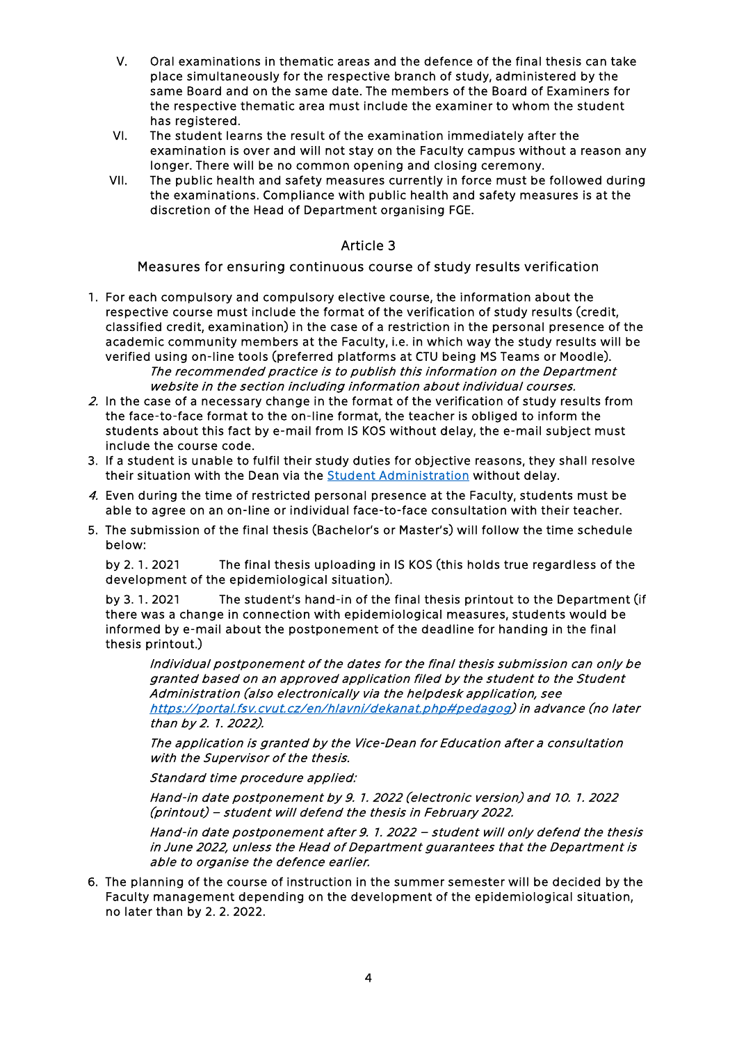- V. Oral examinations in thematic areas and the defence of the final thesis can take place simultaneously for the respective branch of study, administered by the same Board and on the same date. The members of the Board of Examiners for the respective thematic area must include the examiner to whom the student has registered.
- VI. The student learns the result of the examination immediately after the examination is over and will not stay on the Faculty campus without a reason any longer. There will be no common opening and closing ceremony.
- VII. The public health and safety measures currently in force must be followed during the examinations. Compliance with public health and safety measures is at the discretion of the Head of Department organising FGE.

#### Article 3

Measures for ensuring continuous course of study results verification

- 1. For each compulsory and compulsory elective course, the information about the respective course must include the format of the verification of study results (credit, classified credit, examination) in the case of a restriction in the personal presence of the academic community members at the Faculty, i.e. in which way the study results will be verified using on-line tools (preferred platforms at CTU being MS Teams or Moodle). The recommended practice is to publish this information on the Department website in the section including information about individual courses.
- 2. In the case of a necessary change in the format of the verification of study results from the face-to-face format to the on-line format, the teacher is obliged to inform the students about this fact by e-mail from IS KOS without delay, the e-mail subject must include the course code.
- 3. If a student is unable to fulfil their study duties for objective reasons, they shall resolve their situation with the Dean via the [Student Administration](https://portal.fsv.cvut.cz/en/hlavni/dekanat.php#pedagog) without delay.
- 4. Even during the time of restricted personal presence at the Faculty, students must be able to agree on an on-line or individual face-to-face consultation with their teacher.
- 5. The submission of the final thesis (Bachelor's or Master's) will follow the time schedule below:

by 2. 1. 2021 The final thesis uploading in IS KOS (this holds true regardless of the development of the epidemiological situation).

by 3. 1. 2021 The student's hand-in of the final thesis printout to the Department (if there was a change in connection with epidemiological measures, students would be informed by e-mail about the postponement of the deadline for handing in the final thesis printout.)

Individual postponement of the dates for the final thesis submission can only be granted based on an approved application filed by the student to the Student Administration (also electronically via the helpdesk application, see [https://portal.fsv.cvut.cz/en/hlavni/dekanat.php#pedagog\)](https://portal.fsv.cvut.cz/en/hlavni/dekanat.php#pedagog) in advance (no later than by 2. 1. 2022).

The application is granted by the Vice-Dean for Education after a consultation with the Supervisor of the thesis.

Standard time procedure applied:

Hand-in date postponement by 9. 1. 2022 (electronic version) and 10. 1. 2022 (printout) – student will defend the thesis in February 2022.

Hand-in date postponement after 9. 1. 2022 – student will only defend the thesis in June 2022, unless the Head of Department guarantees that the Department is able to organise the defence earlier.

6. The planning of the course of instruction in the summer semester will be decided by the Faculty management depending on the development of the epidemiological situation, no later than by 2. 2. 2022.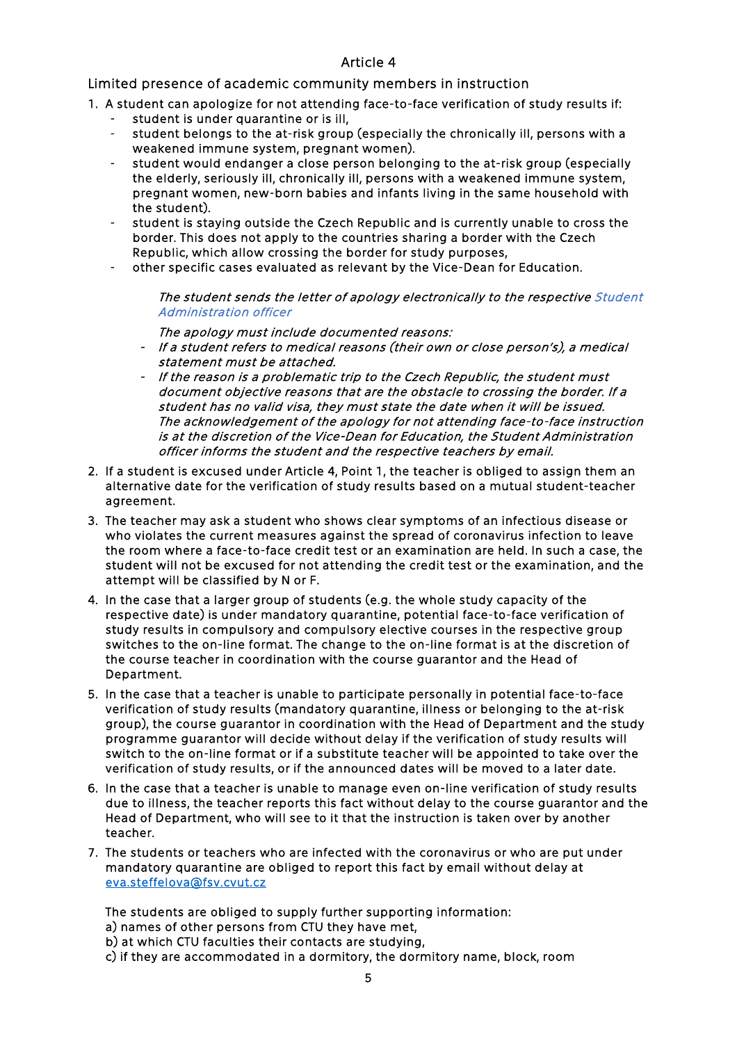#### Article 4

Limited presence of academic community members in instruction

- 1. A student can apologize for not attending face-to-face verification of study results if:
	- student is under quarantine or is ill,
	- student belongs to the at-risk group (especially the chronically ill, persons with a weakened immune system, pregnant women).
	- student would endanger a close person belonging to the at-risk group (especially the elderly, seriously ill, chronically ill, persons with a weakened immune system, pregnant women, new-born babies and infants living in the same household with the student).
	- student is staying outside the Czech Republic and is currently unable to cross the border. This does not apply to the countries sharing a border with the Czech Republic, which allow crossing the border for study purposes,
	- other specific cases evaluated as relevant by the Vice-Dean for Education.

The student sends the letter of apology electronically to the respective Student [Administration officer](https://portal.fsv.cvut.cz/en/hlavni/dekanat.php#pedagog) 

The apology must include documented reasons:

- If a student refers to medical reasons (their own or close person's), a medical statement must be attached.
- If the reason is a problematic trip to the Czech Republic, the student must document objective reasons that are the obstacle to crossing the border. If a student has no valid visa, they must state the date when it will be issued. The acknowledgement of the apology for not attending face-to-face instruction is at the discretion of the Vice-Dean for Education, the Student Administration officer informs the student and the respective teachers by email.
- 2. If a student is excused under Article 4, Point 1, the teacher is obliged to assign them an alternative date for the verification of study results based on a mutual student-teacher agreement.
- 3. The teacher may ask a student who shows clear symptoms of an infectious disease or who violates the current measures against the spread of coronavirus infection to leave the room where a face-to-face credit test or an examination are held. In such a case, the student will not be excused for not attending the credit test or the examination, and the attempt will be classified by N or F.
- 4. In the case that a larger group of students (e.g. the whole study capacity of the respective date) is under mandatory quarantine, potential face-to-face verification of study results in compulsory and compulsory elective courses in the respective group switches to the on-line format. The change to the on-line format is at the discretion of the course teacher in coordination with the course guarantor and the Head of Department.
- 5. In the case that a teacher is unable to participate personally in potential face-to-face verification of study results (mandatory quarantine, illness or belonging to the at-risk group), the course guarantor in coordination with the Head of Department and the study programme guarantor will decide without delay if the verification of study results will switch to the on-line format or if a substitute teacher will be appointed to take over the verification of study results, or if the announced dates will be moved to a later date.
- 6. In the case that a teacher is unable to manage even on-line verification of study results due to illness, the teacher reports this fact without delay to the course guarantor and the Head of Department, who will see to it that the instruction is taken over by another teacher.
- 7. The students or teachers who are infected with the coronavirus or who are put under mandatory quarantine are obliged to report this fact by email without delay at [eva.steffelova@fsv.cvut.cz](mailto:eva.steffelova@fsv.cvut.cz)

The students are obliged to supply further supporting information:

- a) names of other persons from CTU they have met,
- b) at which CTU faculties their contacts are studying,
- c) if they are accommodated in a dormitory, the dormitory name, block, room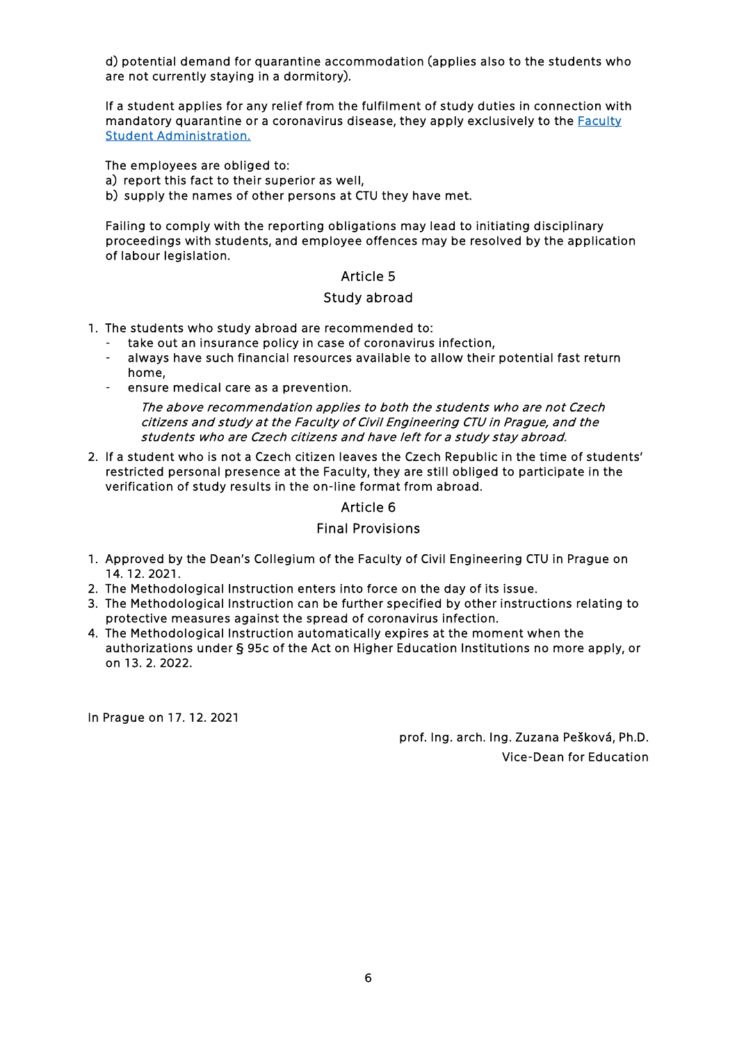d) potential demand for quarantine accommodation (applies also to the students who are not currently staying in a dormitory).

If a student applies for any relief from the fulfilment of study duties in connection with mandatory quarantine or a coronavirus disease, they apply exclusively to the **Faculty** [Student Administration.](https://portal.fsv.cvut.cz/en/hlavni/dekanat.php#pedagog)

The employees are obliged to:

- a) report this fact to their superior as well,
- b) supply the names of other persons at CTU they have met.

Failing to comply with the reporting obligations may lead to initiating disciplinary proceedings with students, and employee offences may be resolved by the application of labour legislation.

#### Article 5

#### Study abroad

- 1. The students who study abroad are recommended to:
	- take out an insurance policy in case of coronavirus infection,
	- always have such financial resources available to allow their potential fast return home,
	- ensure medical care as a prevention.

The above recommendation applies to both the students who are not Czech citizens and study at the Faculty of Civil Engineering CTU in Prague, and the students who are Czech citizens and have left for a study stay abroad.

2. If a student who is not a Czech citizen leaves the Czech Republic in the time of students' restricted personal presence at the Faculty, they are still obliged to participate in the verification of study results in the on-line format from abroad.

#### Article 6

## Final Provisions

- 1. Approved by the Dean's Collegium of the Faculty of Civil Engineering CTU in Prague on 14. 12. 2021.
- 2. The Methodological Instruction enters into force on the day of its issue.
- 3. The Methodological Instruction can be further specified by other instructions relating to protective measures against the spread of coronavirus infection.
- 4. The Methodological Instruction automatically expires at the moment when the authorizations under § 95c of the Act on Higher Education Institutions no more apply, or on 13. 2. 2022.

In Prague on 17. 12. 2021

prof. Ing. arch. Ing. Zuzana Pešková, Ph.D. Vice-Dean for Education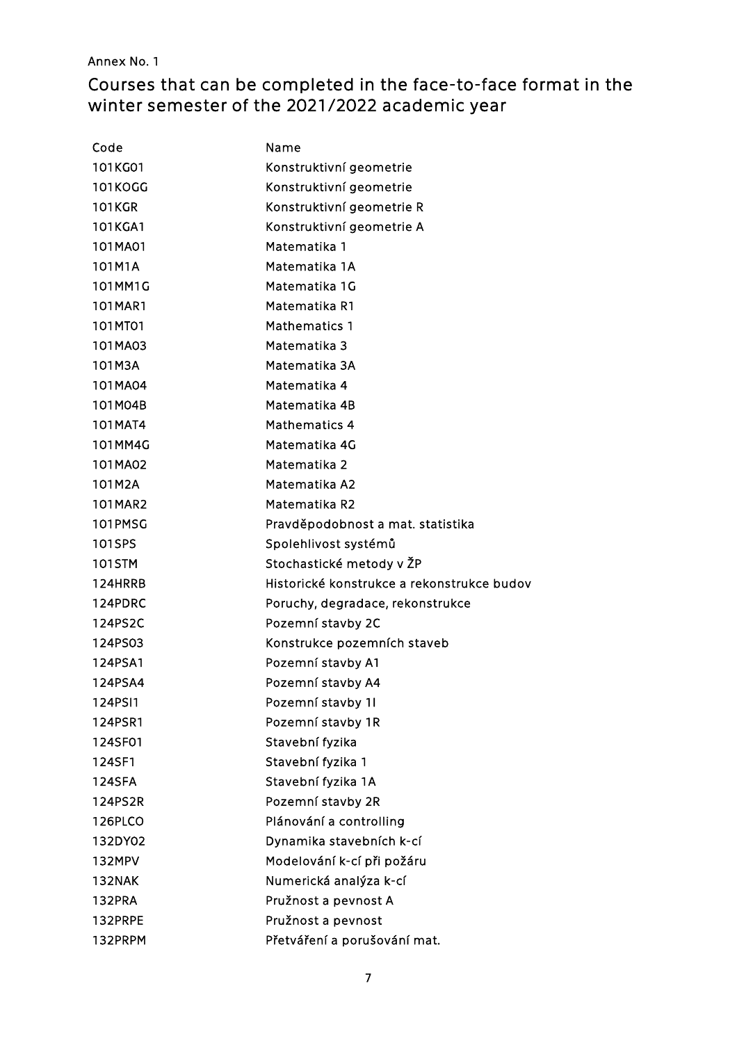# Annex No. 1

# Courses that can be completed in the face-to-face format in the winter semester of the 2021/2022 academic year

| Code           | Name                                       |
|----------------|--------------------------------------------|
| 101KG01        | Konstruktivní geometrie                    |
| <b>101KOGG</b> | Konstruktivní geometrie                    |
| <b>101KGR</b>  | Konstruktivní geometrie R                  |
| 101KGA1        | Konstruktivní geometrie A                  |
| 101MA01        | Matematika 1                               |
| 101M1A         | Matematika 1A                              |
| 101MM1G        | Matematika 1G                              |
| 101MAR1        | Matematika R1                              |
| 101MT01        | <b>Mathematics 1</b>                       |
| 101MA03        | Matematika 3                               |
| 101M3A         | Matematika 3A                              |
| 101MA04        | Matematika 4                               |
| 101M04B        | Matematika 4B                              |
| 101MAT4        | Mathematics 4                              |
| 101MM4G        | Matematika 4G                              |
| 101MA02        | Matematika 2                               |
| 101M2A         | Matematika A2                              |
| 101MAR2        | Matematika R2                              |
| 101PMSG        | Pravděpodobnost a mat. statistika          |
| 101SPS         | Spolehlivost systémů                       |
| 101STM         | Stochastické metody v ŽP                   |
| 124HRRB        | Historické konstrukce a rekonstrukce budov |
| 124PDRC        | Poruchy, degradace, rekonstrukce           |
| 124PS2C        | Pozemní stavby 2C                          |
| 124PS03        | Konstrukce pozemních staveb                |
| 124PSA1        | Pozemní stavby A1                          |
| 124PSA4        | Pozemní stavby A4                          |
| 124PSI1        | Pozemní stavby 11                          |
| 124PSR1        | Pozemní stavby 1R                          |
| 124SF01        | Stavební fyzika                            |
| 124SF1         | Stavební fyzika 1                          |
| <b>124SFA</b>  | Stavební fyzika 1A                         |
| 124PS2R        | Pozemní stavby 2R                          |
| 126PLCO        | Plánování a controlling                    |
| 132DY02        | Dynamika stavebních k-cí                   |
| 132MPV         | Modelování k-cí při požáru                 |
| 132NAK         | Numerická analýza k-cí                     |
| 132PRA         | Pružnost a pevnost A                       |
| 132PRPE        | Pružnost a pevnost                         |
| 132PRPM        | Přetváření a porušování mat.               |